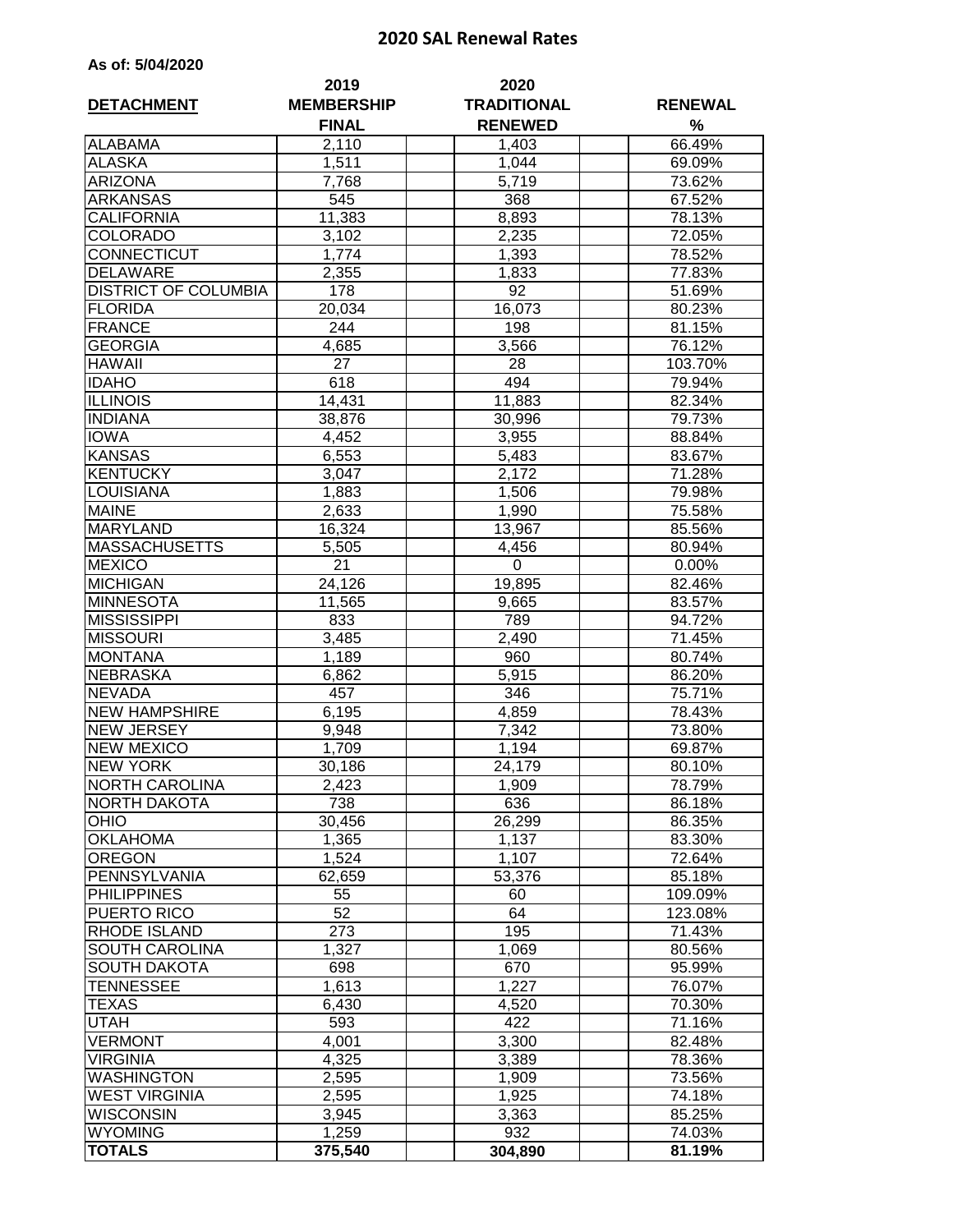## **2020 SAL Renewal Rates**

|  |  |  | As of: 5/04/2020 |
|--|--|--|------------------|
|--|--|--|------------------|

|                             | 2019<br><b>MEMBERSHIP</b> | 2020                                 | <b>RENEWAL</b> |
|-----------------------------|---------------------------|--------------------------------------|----------------|
| <b>DETACHMENT</b>           | <b>FINAL</b>              | <b>TRADITIONAL</b><br><b>RENEWED</b> | %              |
| <b>ALABAMA</b>              | 2,110                     | 1,403                                | 66.49%         |
| <b>ALASKA</b>               | 1,511                     | 1,044                                | 69.09%         |
| <b>ARIZONA</b>              | 7,768                     | 5,719                                | 73.62%         |
| <b>ARKANSAS</b>             | 545                       | 368                                  | 67.52%         |
| <b>CALIFORNIA</b>           | 11,383                    | 8,893                                | 78.13%         |
| <b>COLORADO</b>             | 3,102                     | 2,235                                | 72.05%         |
| CONNECTICUT                 | 1,774                     | 1,393                                | 78.52%         |
| <b>DELAWARE</b>             | 2,355                     | 1,833                                | 77.83%         |
| <b>DISTRICT OF COLUMBIA</b> | 178                       | 92                                   | 51.69%         |
| <b>FLORIDA</b>              | 20,034                    | 16,073                               | 80.23%         |
| <b>FRANCE</b>               | 244                       | 198                                  | 81.15%         |
| <b>GEORGIA</b>              | 4,685                     | 3,566                                | 76.12%         |
| <b>HAWAII</b>               | 27                        | 28                                   | 103.70%        |
| <b>IDAHO</b>                | 618                       | 494                                  | 79.94%         |
| <b>ILLINOIS</b>             | 14,431                    | 11,883                               | 82.34%         |
| <b>INDIANA</b>              | 38,876                    | 30,996                               | 79.73%         |
| <b>IOWA</b>                 | 4,452                     | 3,955                                | 88.84%         |
| <b>KANSAS</b>               | 6,553                     | 5,483                                | 83.67%         |
| <b>KENTUCKY</b>             | 3,047                     | 2,172                                | 71.28%         |
| <b>LOUISIANA</b>            | 1,883                     | 1,506                                | 79.98%         |
| <b>MAINE</b>                | 2,633                     | 1,990                                | 75.58%         |
| <b>MARYLAND</b>             | 16,324                    | 13,967                               | 85.56%         |
| <b>MASSACHUSETTS</b>        | 5,505                     | 4,456                                | 80.94%         |
| <b>MEXICO</b>               | $\overline{2}1$           | 0                                    | 0.00%          |
| <b>MICHIGAN</b>             | 24,126                    | 19,895                               | 82.46%         |
| <b>MINNESOTA</b>            | 11,565                    | 9,665                                | 83.57%         |
| <b>MISSISSIPPI</b>          | 833                       | 789                                  | 94.72%         |
| <b>MISSOURI</b>             | 3,485                     | $\overline{2,}490$                   | 71.45%         |
| <b>MONTANA</b>              | 1,189                     | 960                                  | 80.74%         |
| <b>NEBRASKA</b>             | 6,862                     | 5,915                                | 86.20%         |
| <b>NEVADA</b>               | 457                       | 346                                  | 75.71%         |
| <b>NEW HAMPSHIRE</b>        | 6,195                     | 4,859                                | 78.43%         |
| <b>NEW JERSEY</b>           | 9,948                     | 7,342                                | 73.80%         |
| <b>NEW MEXICO</b>           | 1,709                     | 1,194                                | 69.87%         |
| <b>NEW YORK</b>             | 30,186                    | 24,179                               | 80.10%         |
| <b>NORTH CAROLINA</b>       | 2,423                     | 1,909                                | 78.79%         |
| NORTH DAKOTA                | 738                       | 636                                  | 86.18%         |
| <b>OHIO</b>                 | 30,456                    | 26,299                               | 86.35%         |
| <b>OKLAHOMA</b>             | 1,365                     | 1,137                                | 83.30%         |
| <b>OREGON</b>               | 1,524                     | 1,107                                | 72.64%         |
| PENNSYLVANIA                | 62,659                    | 53,376                               | 85.18%         |
| <b>PHILIPPINES</b>          | 55                        | 60                                   | 109.09%        |
| PUERTO RICO                 | 52                        | 64                                   | 123.08%        |
| RHODE ISLAND                | 273                       | 195                                  | 71.43%         |
| SOUTH CAROLINA              | $\overline{1,}327$        | 1,069                                | 80.56%         |
| <b>SOUTH DAKOTA</b>         | 698                       | 670                                  | 95.99%         |
| TENNESSEE                   | 1,613                     | 1,227                                | 76.07%         |
| TEXAS                       | 6,430                     | 4,520                                | 70.30%         |
| UTAH                        | 593                       | 422                                  | 71.16%         |
| <b>VERMONT</b>              | 4,001                     | 3,300                                | 82.48%         |
| <b>VIRGINIA</b>             | 4,325                     | 3,389                                | 78.36%         |
| <b>WASHINGTON</b>           | 2,595                     | 1,909                                | 73.56%         |
| <b>WEST VIRGINIA</b>        | 2,595                     | 1,925                                | 74.18%         |
| <b>WISCONSIN</b>            | 3,945                     | 3,363                                | 85.25%         |
| <b>WYOMING</b>              | 1,259                     | 932                                  | 74.03%         |
| <b>TOTALS</b>               |                           |                                      |                |
|                             | 375,540                   | 304,890                              | 81.19%         |